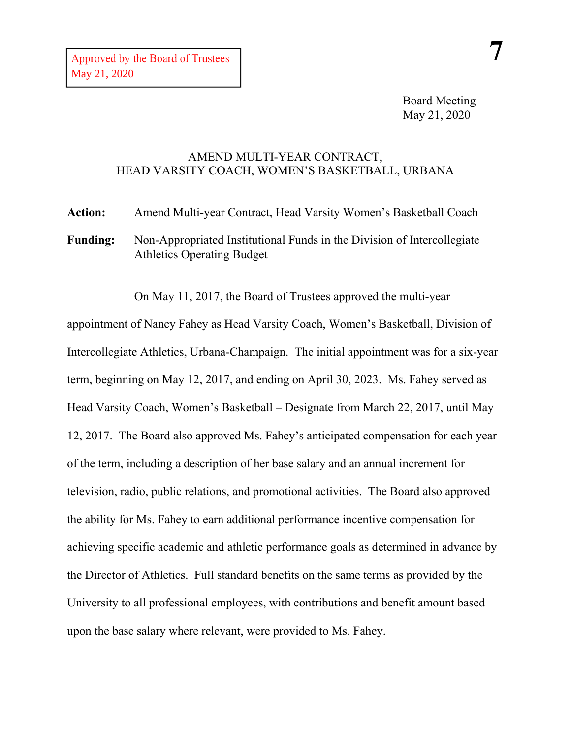Board Meeting May 21, 2020

## AMEND MULTI-YEAR CONTRACT, HEAD VARSITY COACH, WOMEN'S BASKETBALL, URBANA

**Action:** Amend Multi-year Contract, Head Varsity Women's Basketball Coach **Funding:** Non-Appropriated Institutional Funds in the Division of Intercollegiate Athletics Operating Budget

On May 11, 2017, the Board of Trustees approved the multi-year

appointment of Nancy Fahey as Head Varsity Coach, Women's Basketball, Division of Intercollegiate Athletics, Urbana-Champaign. The initial appointment was for a six-year term, beginning on May 12, 2017, and ending on April 30, 2023. Ms. Fahey served as Head Varsity Coach, Women's Basketball – Designate from March 22, 2017, until May 12, 2017. The Board also approved Ms. Fahey's anticipated compensation for each year of the term, including a description of her base salary and an annual increment for television, radio, public relations, and promotional activities. The Board also approved the ability for Ms. Fahey to earn additional performance incentive compensation for achieving specific academic and athletic performance goals as determined in advance by the Director of Athletics. Full standard benefits on the same terms as provided by the University to all professional employees, with contributions and benefit amount based upon the base salary where relevant, were provided to Ms. Fahey.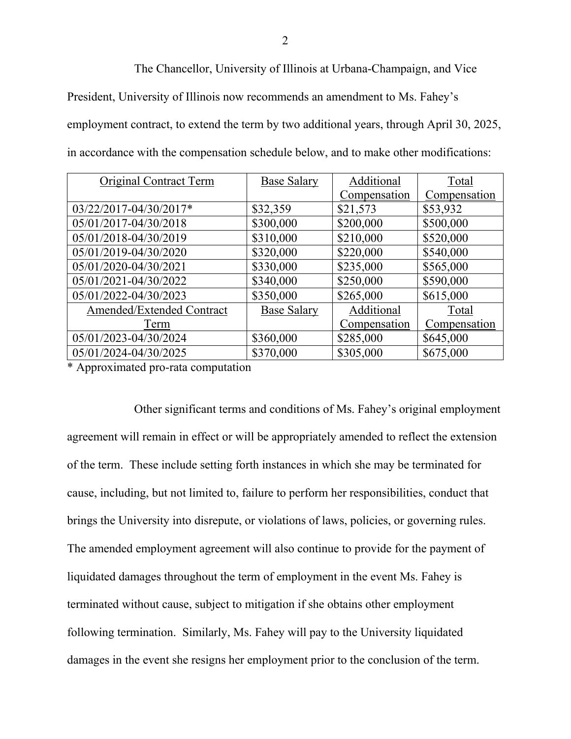The Chancellor, University of Illinois at Urbana-Champaign, and Vice President, University of Illinois now recommends an amendment to Ms. Fahey's employment contract, to extend the term by two additional years, through April 30, 2025, in accordance with the compensation schedule below, and to make other modifications:

| Original Contract Term    | <b>Base Salary</b> | Additional   | Total        |
|---------------------------|--------------------|--------------|--------------|
|                           |                    | Compensation | Compensation |
| 03/22/2017-04/30/2017*    | \$32,359           | \$21,573     | \$53,932     |
| 05/01/2017-04/30/2018     | \$300,000          | \$200,000    | \$500,000    |
| 05/01/2018-04/30/2019     | \$310,000          | \$210,000    | \$520,000    |
| 05/01/2019-04/30/2020     | \$320,000          | \$220,000    | \$540,000    |
| 05/01/2020-04/30/2021     | \$330,000          | \$235,000    | \$565,000    |
| 05/01/2021-04/30/2022     | \$340,000          | \$250,000    | \$590,000    |
| 05/01/2022-04/30/2023     | \$350,000          | \$265,000    | \$615,000    |
| Amended/Extended Contract | <b>Base Salary</b> | Additional   | Total        |
| Term                      |                    | Compensation | Compensation |
| 05/01/2023-04/30/2024     | \$360,000          | \$285,000    | \$645,000    |
| 05/01/2024-04/30/2025     | \$370,000          | \$305,000    | \$675,000    |

\* Approximated pro-rata computation

Other significant terms and conditions of Ms. Fahey's original employment agreement will remain in effect or will be appropriately amended to reflect the extension of the term. These include setting forth instances in which she may be terminated for cause, including, but not limited to, failure to perform her responsibilities, conduct that brings the University into disrepute, or violations of laws, policies, or governing rules. The amended employment agreement will also continue to provide for the payment of liquidated damages throughout the term of employment in the event Ms. Fahey is terminated without cause, subject to mitigation if she obtains other employment following termination. Similarly, Ms. Fahey will pay to the University liquidated damages in the event she resigns her employment prior to the conclusion of the term.